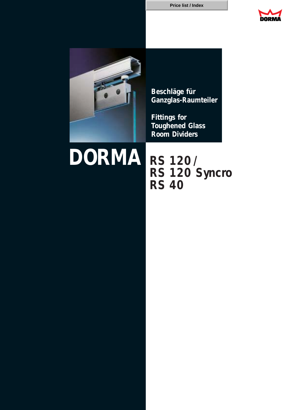



**Beschläge für Ganzglas-Raumteiler**

**Fittings for Toughened Glass Room Dividers** 

**DORMA RS 120/**

**RS 120 Syncro RS 40**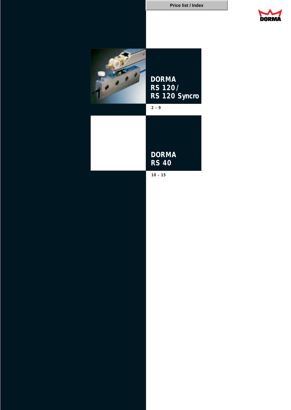





**10 – 15**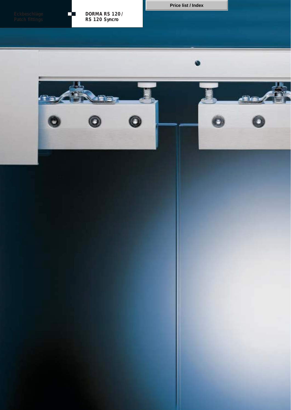▭

G



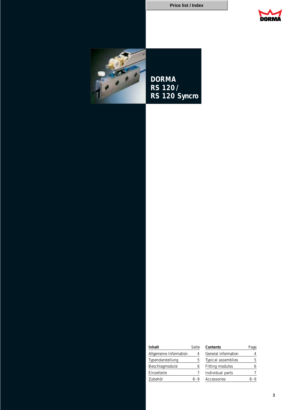



**DORMA RS 120/ RS 120 Syncro**

# Allgemeine Information **Typendarstellung Beschlagmodule**

Einzelteile Zubehör

**Inhalt** Seite

|   | General information       |  |
|---|---------------------------|--|
| 5 | <b>Typical assemblies</b> |  |
| 6 | Fitting modules           |  |
| 7 | Individual parts          |  |
|   | Accessories               |  |

**Contents** Page

**3**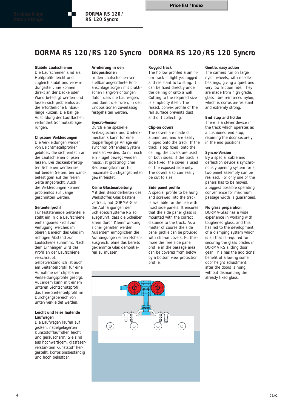# <span id="page-5-0"></span>**DORMA RS 120/RS 120 Syncro**

# **Stabile Laufschienen**

Die Laufschienen sind als Hohlprofile leicht und zugleich stabil und verwindungssteif. Sie können direkt an der Decke oder Wand befestigt werden und lassen sich problemlos auf die erforderliche Einbaulänge kürzen. Die ballige Ausbildung der Laufflächen verhindert Schmutzablagerungen.

### **Clipsbare Verkleidungen**

Die Verkleidungen werden von Leichtmetallprofilen gebildet, die sich einfach an die Laufschienen clipsen lassen. Bei deckenbefestigten Schienen werden sie auf beiden Seiten, bei wandbefestigten auf der freien Seite angebracht. Auch die Verkleidungen können problemlos auf Länge geschnitten werden.

## **Seitenteilprofil**

Für feststehende Seitenteile steht ein in die Laufschiene einhängbares Profil zur Verfügung, welches im oberen Bereich das Glas im richtigen Abstand zur Laufschiene aufnimmt. Nach dem Einhängen wird das Profil an der Laufschiene verschraubt.

Selbstverständlich ist auch am Seitenteilprofil für eine Aufnahme der clipsbaren Verkleidungsprofile gesorgt. Außerdem kann mit einem unteren Sichtschutzprofil das freie Seitenteilprofil im Durchgangsbereich von unten verkleidet werden.

# **Leicht und leise laufende Laufwagen**

Die Laufwagen laufen auf großen, nadelgelagerten Kunststofflaufrollen leicht und geräuscharm. Sie sind aus hochwertigem, glasfaserverstärktem Kunststoff hergestellt, korrosionsbeständig und hoch belastbar.

# **Arretierung in den**

**Endpositionen** In den Laufschienen verstellbar angeordnete Endanschläge sorgen mit praktischen Fangvorrichtungen dafür, dass die Laufwagen, und damit die Türen, in den Endpositionen zuverlässig festgehalten werden.

# **Syncro-Version**

Durch eine spezielle Seilzugtechnik und Umlenkmechanik kann für eine doppelflügelige Anlage ein synchron öffnendes System realisiert werden. Da nur noch ein Flügel bewegt werden muss, ist größtmöglicher Bedienungskomfort für maximale Durchgangsbreiten gewährleistet.

# **Keine Glasbearbeitung**

Mit den Besonderheiten des Werkstoffes Glas bestens vertraut, hat DORMA-Glas die Aufhängungen der Schiebetürsysteme RS so ausgeführt, dass die Scheiben allein durch Klemmwirkung sicher gehalten werden. Außerdem ermöglichen die Aufhängungen einen Höhenausgleich, ohne das bereits geklemmte Glas demontieren zu müssen.

#### **Rugged track**

The hollow profiled aluminium track is light yet rugged and resistant to twisting. It can be fixed directly under the ceiling or onto a wall. Cutting to the required size is simplicity itself. The raised, convex profile of the rail surface prevents dust and dirt collecting.

## **Clip-on covers**

The covers are made of aluminium, and are easily clipped onto the track. If the track is top fixed, onto the ceiling, the covers are used on both sides; if the track is side fixed, the cover is used on the exposed side only. The covers also can easily be cut to size.

## **Side panel profile**

A special profile to be hung and screwed into the track is available for the use with fixed side panels. It ensures that the side panel glass is mounted with the correct distance to the track. As a matter of course the side panel profile can be provided with clip-on covers. Furthermore the free side panel profile in the passage area can be covered from below by a bottom view protection profile.

#### **Gentle, easy action**

**DORMA RS 120/RS 120 Syncro**

The carriers run on large nylon wheels, with needle bearings, giving a quiet and very low friction ride. They are made from high grade, glass fibre reinforced nylon, which is corrosion-resistant and extremly strong.

#### **End stop and holder**

There is a clever device in the track which operates as a cushioned end stop, retaining the door securely in the end positions.

#### **Syncro-Version**

By a special cable and deflection device a synchronously opening system for a two-panel assembly can be realised. For only one of the panels has to be moved, a biggest possible operating convenience for maximum passage width is guaranteed.

## **No glass preparation**

DORMA-Glas has a wide experience in working with toughened glass, and this has led to the development of a clamping system which is all that is required for securing the glass blades in DORMA RS sliding door gear. This has the additional benefit of allowing some door height adjustment, after the doors is hung, without dismantling the already fixed glass.

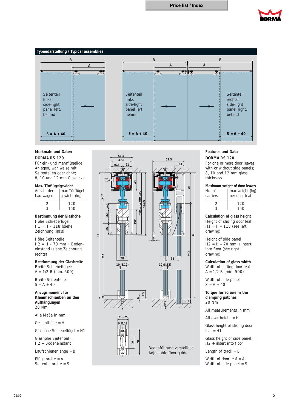



<span id="page-6-0"></span>

# **Merkmale und Daten**

#### **DORMA RS 120**

Für ein- und mehrflügelige Anlagen, wahlweise mit Seitenteilen oder ohne; 8, 10 und 12 mm Glasdicke.

#### **Max. Türflügelgewicht**

| Anzahl der | max Türflügel- |  |  |
|------------|----------------|--|--|
| Laufwagen  | gewicht (kg)   |  |  |
| D          | 120            |  |  |
| 3          | 150            |  |  |

**Bestimmung der Glashöhe** Höhe Schiebeflügel: H1 = H – 118 (siehe Zeichnung links)

Höhe Seitenteile: H2 = H – 70 mm + Bodeneinstand (siehe Zeichnung rechts)

**Bestimmung der Glasbreite** Breite Schiebeflügel: A = 1/2 B (min. 500)

Breite Seitenteile:  $S = A + 40$ 

**Anzugsmoment für Klemmschrauben an den Aufhängungen** 20 Nm

Alle Maße in mm

Gesamthöhe = H

Glashöhe Schiebeflügel = H1

Glashöhe Seitenteil = H2 + Bodeneinstand

Laufschienenlänge = B

Flügelbreite = A Seitenteilbreite = S



Bodenführung verstellbar Adjustable floor guide

# **Features and Data DORMA RS 120**

For one or more door leaves, with or without side panels; 8, 10 and 12 mm glass thickness.

# **Maximum weight of door leaves**

| No. of   | max weight (kg) |  |
|----------|-----------------|--|
| carriers | per door leaf   |  |
| ン        | 120             |  |
| 3        | 150             |  |

**Calculation of glass height** Height of sliding door leaf

 $H1 = H - 118$  (see left drawing)

Height of side panel  $H2 = H - 70$  mm + insert into floor (see right drawing)

**Calculation of glass width** Width of sliding door leaf

A = 1/2 B (min. 500)

Width of side panel  $S = A + 40$ 

**Torque for screws in the clamping patches**  20 Nm

All measurements in mm

All over height  $=$  H

Glass height of sliding door  $leaf = H1$ 

Glass height of side panel = H2 + insert into floor

Length of track  $=$  B

Width of door leaf = A Width of side panel = S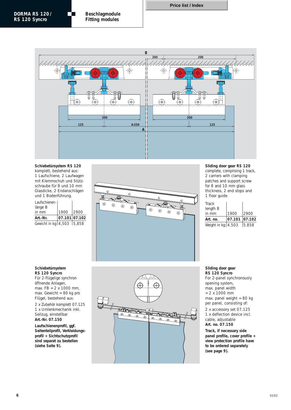n d

<span id="page-7-0"></span>

**Schiebetürsystem RS 120** komplett, bestehend aus: 1 Laufschiene, 2 Laufwagen mit Klemmschuh und Stützschraube für 8 und 10 mm Glasdicke, 2 Endanschlägen und 1 Bodenführung.

| Laufschienen-        |               |       |
|----------------------|---------------|-------|
| länge B              |               |       |
| in mm                | 1900          | 2900  |
| Art.-Nr.             | 07.101 07.102 |       |
| Gewicht in ka: 1 503 |               | 5.858 |

Gewicht in kg: 4,503 5,858

# $\odot$  $\odot$  $\odot$  $\odot$  $\odot$  $\odot$  $\odot$  $\odot$

**Sliding door gear RS 120** complete, comprising 1 track, 2 carriers with clamping patches and support screw for 8 and 10 mm glass thickness, 2 end stops and 1 floor guide.

| <b>Track</b>        |        |        |
|---------------------|--------|--------|
| length B            |        |        |
| in mm               | 1900   | 2900   |
| Art. no.            | 07.101 | 07.102 |
| Weight in kg: 4.503 |        | 5.858  |

# **Schiebetürsystem**

**RS 120 Syncro** Für 2-flügelige synchron öffnende Anlagen, max. FB = 2 x 1000 mm, max. Gewicht = 80 kg pro Flügel, bestehend aus:

2 x Zubehör komplett 07.125 1 x Umlenkmechanik inkl. Seilzug, einstellbar **Art.-Nr. 07.150**

**Laufschienenprofil, ggf. Seitenteilprofil, Verkleidungsprofil + Sichtschutzprofil sind separat zu bestellen (siehe Seite 9).**



**Sliding door gear**

**RS 120 Syncro** For 2-panel synchronously opening system, max. panel width  $= 2 x 1000 mm$ max. panel weight = 80 kg per panel, consisting of:

2 x accessory set 07.125 1 x deflection device incl. cable, adjustable **Art. no. 07.150**

**Track, if necessary side panel profile, cover profile + view protection profile have to be ordered separately (see page 9).**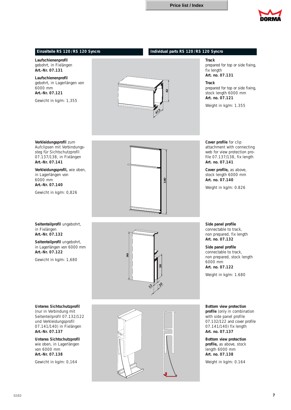



# <span id="page-8-0"></span>**Einzelteile RS 120 / RS 120 Syncro Individual parts RS 120 / RS 120 Syncro**

**Laufschienenprofil** gebohrt, in Fixlängen **Art.-Nr. 07.131**

**Laufschienenprofil** gebohrt, in Lagerlängen von 6000 mm **Art.-Nr. 07.121**

Gewicht in kg/m: 1,355



**Track**

prepared for top or side fixing, fix length **Art. no. 07.131**

#### **Track**

prepared for top or side fixing, stock length 6000 mm **Art. no. 07.121**

Weight in kg/m: 1.355

**Verkleidungsprofil** zum Aufclipsen mit Verbindungssteg für Sichtschutzprofil 07.137/138, in Fixlängen **Art.-Nr. 07.141**

**Verkleidungsprofil,** wie oben, in Lagerlängen von 6000 mm **Art.-Nr. 07.140**

Gewicht in kg/m: 0,826



**Cover profile** for clip attachment with connecting web for view protection profile 07.137/138, fix length **Art. no. 07.141**

**Cover profile,** as above, stock length 6000 mm **Art. no. 07.140**

Weight in kg/m: 0.826

# **Seitenteilprofil** ungebohrt, in Fixlängen **Art.-Nr. 07.132**

**Seitenteilprofil** ungebohrt, in Lagerlängen von 6000 mm **Art.-Nr. 07.122**

Gewicht in kg/m: 1,680



**Unteres Sichtschutzprofil** (nur in Verbindung mit Seitenteilprofil 07.132/122 und Verkleidungsprofil 07.141/140) in Fixlängen **Art.-Nr. 07.137**

**Unteres Sichtschutzprofil** wie oben, in Lagerlängen von 6000 mm **Art.-Nr. 07.138**

Gewicht in kg/m: 0,164



**Side panel profile** connectable to track, non prepared, fix length **Art. no. 07.132**

**Side panel profile** connectable to track, non prepared, stock length 6000 mm **Art. no. 07.122**

Weight in kg/m: 1.680

# **Bottom view protection**

**profile** (only in combination with side panel profile 07.132/122 and cover profile 07.141/140) fix length **Art. no. 07.137**

# **Bottom view protection**

**profile,** as above, stock length 6000 mm **Art. no. 07.138**

Weight in kg/m: 0.164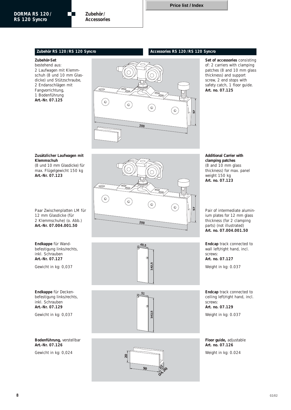

# <span id="page-9-0"></span>**Zubehör RS 120/RS 120 Syncro Accessories RS 120/RS 120 Syncro**

m a

**Zubehör-Set** bestehend aus: 2 Laufwagen mit Klemmschuh (8 und 10 mm Glasdicke) und Stützschraube, 2 Endanschlägen mit Fangvorrichtung, 1 Bodenführung **Art.-Nr. 07.125**



**Set of accessories** consisting of: 2 carriers with clamping patches (8 and 10 mm glass thickness) and support screw, 2 end stops with safety catch, 1 floor guide. **Art. no. 07.125**

# **Zusätzlicher Laufwagen mit Klemmschuh**

(8 und 10 mm Glasdicke) für max. Flügelgewicht 150 kg **Art.-Nr. 07.123**



**Endkappe** für Wandbefestigung links/rechts, inkl. Schrauben **Art.-Nr. 07.127**

Gewicht in kg: 0,037

**Endkappe** für Deckenbefestigung links/rechts, inkl. Schrauben **Art.-Nr. 07.129**

Gewicht in kg: 0,037

**Bodenführung,** verstellbar **Art.-Nr. 07.126**

Gewicht in kg: 0,024



**49,5 142,5 51**



**50**

**22** (24, 26)

**20**

**Additional Carrier with clamping patches** (8 and 10 mm glass thickness) for max. panel weight 150 kg **Art. no. 07.123**

Pair of intermediate aluminium plates for 12 mm glass thickness (for 2 clamping parts) (not illustrated) **Art. no. 07.004.001.50**

**Endcap** track connected to wall left/right hand, incl. screws: **Art. no. 07.127**

Weight in kg: 0.037

**Endcap** track connected to ceiling left/right hand, incl. screws: **Art. no. 07.129**

Weight in kg: 0.037

**Floor guide,** adjustable **Art. no. 07.126** Weight in kg: 0.024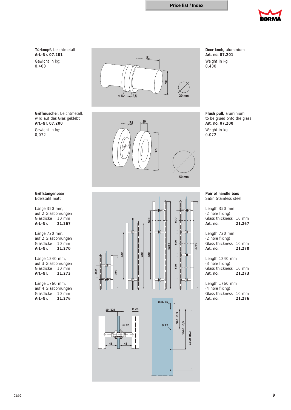



#### **Griffstangenpaar** Edelstahl matt

Länge 350 mm, auf 2 Glasbohrungen<br>Glasdicke 10 mm Glasdicke<br>**Art.-Nr. Art.-Nr. 21.267**

Länge 720 mm, auf 2 Glasbohrungen Glasdicke 10 mm **Art.-Nr. 21.270**

Länge 1240 mm, auf 3 Glasbohrungen Glasdicke 10 mm<br>Art.-Nr. 21.273 **Art.-Nr. 21.273**

Länge 1760 mm, auf 4 Glasbohrungen Glasdicke 10 mm<br>Art.-Nr. 21.276 **Art.-Nr. 21.276**







**Pair of handle bars** Satin Stainless steel

Length 350 mm (2 hole fixing) Glass thickness 10 mm<br>Art. no. 21.267 **Art. no. 21.267**

Length 720 mm (2 hole fixing) Glass thickness 10 mm **Art. no. 21.270**

Length 1240 mm (3 hole fixing) Glass thickness 10 mm<br>Art. no. 21.273 **Art. no. 21.273**

Length 1760 mm (4 hole fixing) Glass thickness 10 mm<br>Art. no. 21.276 **Art. no. 21.276**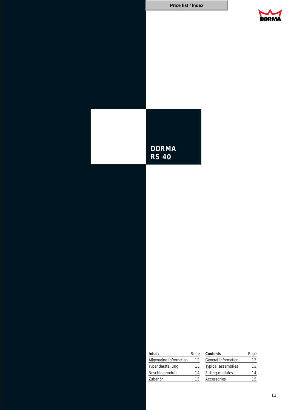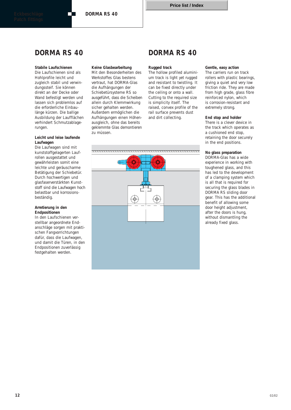# <span id="page-13-0"></span>**DORMA RS 40**

# **Stabile Laufschienen**

Die Laufschienen sind als Hohlprofile leicht und zugleich stabil und verwindungssteif. Sie können direkt an der Decke oder Wand befestigt werden und lassen sich problemlos auf die erforderliche Einbaulänge kürzen. Die ballige Ausbildung der Laufflächen verhindert Schmutzablagerungen.

# **Leicht und leise laufende Laufwagen**

Die Laufwagen sind mit kunststoffgelagerten Laufrollen ausgestattet und gewährleisten somit eine leichte und geräuscharme Betätigung der Schiebetür. Durch hochwertigen und glasfaserverstärkten Kunststoff sind die Laufwagen hoch belastbar und korrosionsbeständig.

# **Arretierung in den Endpositionen**

In den Laufschienen verstellbar angeordnete Endanschläge sorgen mit praktischen Fangvorrichtungen dafür, dass die Laufwagen, und damit die Türen, in den Endpositionen zuverlässig festgehalten werden.

# **Keine Glasbearbeitung**

Mit den Besonderheiten des Werkstoffes Glas bestens vertraut, hat DORMA-Glas die Aufhängungen der Schiebetürsysteme RS so ausgeführt, dass die Scheiben allein durch Klemmwirkung sicher gehalten werden. Außerdem ermöglichen die Aufhängungen einen Höhenausgleich, ohne das bereits geklemmte Glas demontieren zu müssen.

# **DORMA RS 40**

# **Rugged track**

The hollow profiled aluminium track is light yet rugged and resistant to twistling. It can be fixed directly under the ceiling or onto a wall. Cutting to the required size is simplicity itself. The raised, convex profile of the rail surface prevents dust and dirt collecting.



# **Gentle, easy action**

The carriers run on track rollers with plastic bearings, giving a quiet and very low friction ride. They are made from high grade, glass fibre reinforced nylon, which is corrosion-resistant and extremely strong.

#### **End stop and holder**

There is a clever device in the track which operates as a cushioned end stop, retaining the door securely in the end positions.

## **No glass preparation**

DORMA-Glas has a wide experience in working with toughened glass, and this has led to the development of a clamping system which is all that is required for securing the glass blades in DORMA RS sliding door gear. This has the additional benefit of allowing some door height adjustment, after the doors is hung, without dismantling the already fixed glass.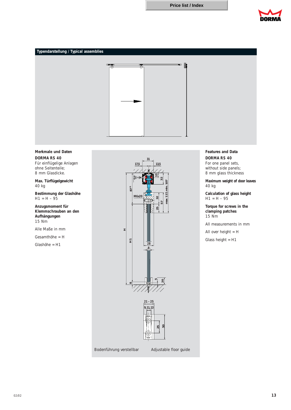

# <span id="page-14-0"></span>**Typendarstellung / Typical assemblies**



## **Merkmale und Daten**

**DORMA RS 40** Für einflügelige Anlagen ohne Seitenteile; 8 mm Glasdicke.

**Max. Türflügelgewicht** 40 kg

**Bestimmung der Glashöhe**  $H1 = H - 95$ 

**Anzugsmoment für Klemmschrauben an den Aufhängungen** 15 Nm

Alle Maße in mm

Gesamthöhe = H

Glashöhe = H1



**Features and Data DORMA RS 40** For one panel sets, without side panels; 8 mm glass thickness

**Maximum weight of door leaves** 40 kg

**Calculation of glass height**  $H1 = H - 95$ 

**Torque for screws in the clamping patches**  15 Nm

All measurements in mm

All over height  $=$  H

Glass height =  $H1$ 

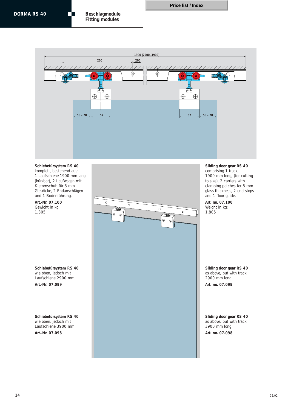<span id="page-15-0"></span>

**Schiebetürsystem RS 40** komplett, bestehend aus: 1 Laufschiene 1900 mm lang (kürzbar), 2 Laufwagen mit Klemmschuh für 8 mm Glasdicke, 2 Endanschlägen und 1 Bodenführung.

**Art.-Nr. 07.100** Gewicht in kg: 1,805

**Schiebetürsystem RS 40** wie oben, jedoch mit Laufschiene 2900 mm **Art.-Nr. 07.099**

**Schiebetürsystem RS 40** wie oben, jedoch mit Laufschiene 3900 mm **Art.-Nr. 07.098**



**Sliding door gear RS 40**

comprising 1 track, 1900 mm long, (for cutting to size), 2 carriers with clamping patches for 8 mm glass thickness, 2 end stops and 1 floor guide.

**Art. no. 07.100** Weight in kg: 1.805

**Sliding door gear RS 40** as above, but with track 2900 mm long

**Art. no. 07.099**

**Sliding door gear RS 40** as above, but with track 3900 mm long **Art. no. 07.098**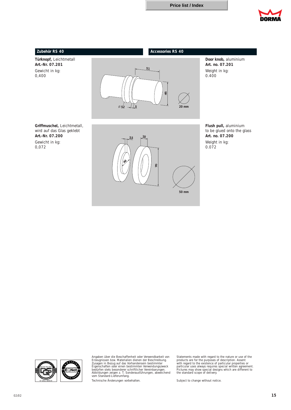







Angaben über die Beschaffenheit oder Verwendbarkeit von<br>Erzeugnissen bzw. Materialien dienen der Beschreibung.<br>Zusagen in Bezug auf das Vorhandensein bestimmter<br>Eigenschaften oder einen bestimmten Verwendungszweck<br>bedürfen Technische Änderungen vorbehalten.

Statements made with regard to the nature or use of the<br>products are for the purposes of description. Assent<br>with regard to the existence of particular properties or<br>particular uses always requires special written agreemen

Subject to change without notice.